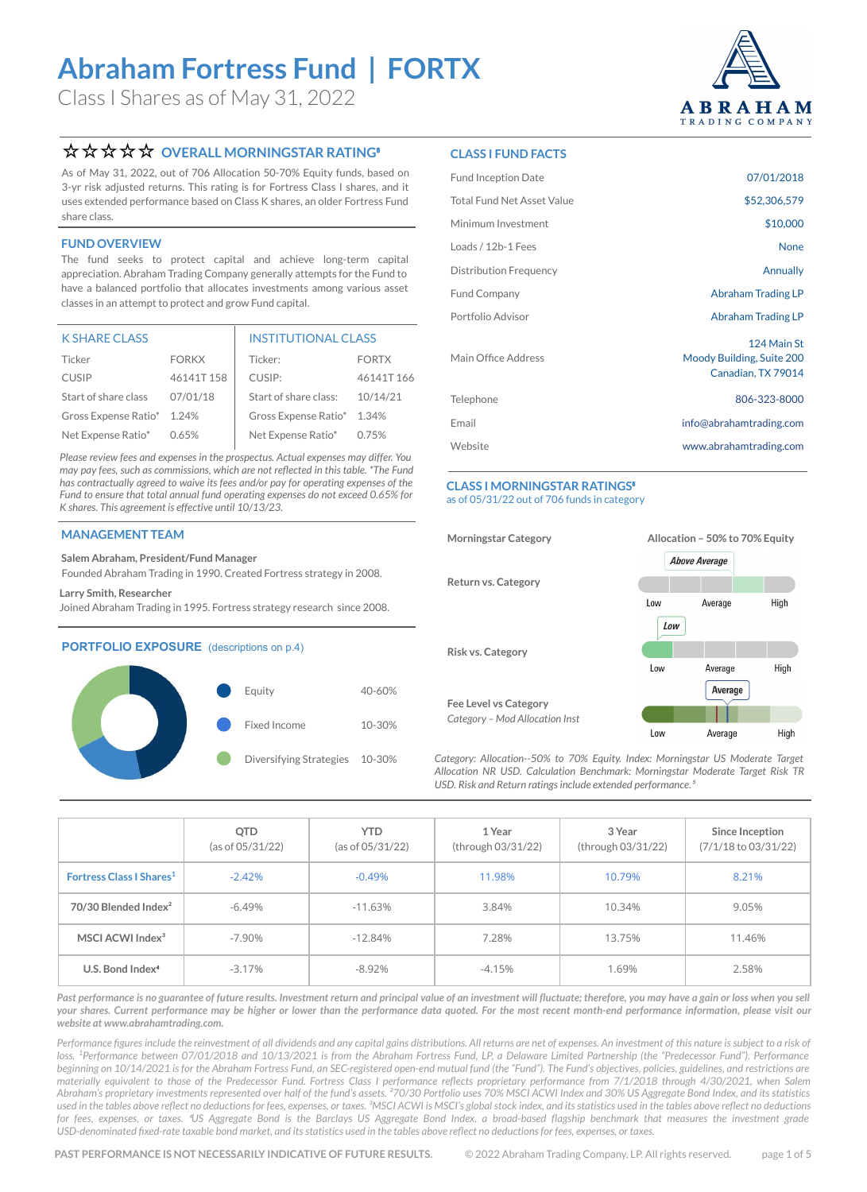Class I Shares as of May 31, 2022



### **☆☆☆☆ OVERALL MORNINGSTAR RATING**

As of May 31, 2022, out of 706 Allocation 50-70% Equity funds, based on 3-yr risk adjusted returns. This rating is for Fortress Class I shares, and it uses extended performance based on Class K shares, an older Fortress Fund share class.

### **FUND OVERVIEW**

The fund seeks to protect capital and achieve long-term capital appreciation. Abraham Trading Company generally attempts for the Fund to have a balanced portfolio that allocates investments among various asset classes in an attempt to protect and grow Fund capital.

| <b>K SHARE CLASS</b>       |              | <b>INSTITUTIONAL CLASS</b> |              |  |
|----------------------------|--------------|----------------------------|--------------|--|
| Ticker                     | <b>FORKX</b> | Ticker:                    | <b>FORTX</b> |  |
| <b>CUSIP</b>               | 46141T158    | CUSIP:                     | 46141T166    |  |
| Start of share class       | 07/01/18     | Start of share class:      | 10/14/21     |  |
| Gross Expense Ratio* 1.24% |              | Gross Expense Ratio* 1.34% |              |  |
| Net Expense Ratio*         | 0.65%        | Net Expense Ratio*         | 0.75%        |  |

*Please review fees and expenses in the [prospectus.](https://funddocs.filepoint.com/abraham/) Actual expenses may differ. You may pay fees, such as commissions, which are not reflected in this table. \*The Fund has contractually agreed to waive its fees and/or pay for operating expenses of the Fund to ensure that total annual fund operating expenses do not exceed 0.65% for K shares. This agreement is effective until 10/13/23.*

### **MANAGEMENT TEAM**

### **Salem Abraham, President/Fund Manager**

Founded Abraham Trading in 1990. Created Fortress strategy in 2008.

#### **Larry Smith, Researcher**

Joined Abraham Trading in 1995. Fortress strategy research since 2008.

### **PORTFOLIO EXPOSURE** (descriptions on p.4)



### **CLASS I FUND FACTS**

| <b>Fund Inception Date</b>        | 07/01/2018                                                     |
|-----------------------------------|----------------------------------------------------------------|
| <b>Total Fund Net Asset Value</b> | \$52,306,579                                                   |
| Minimum Investment                | \$10,000                                                       |
| Loads / 12b-1 Fees                | <b>None</b>                                                    |
| <b>Distribution Frequency</b>     | Annually                                                       |
| <b>Fund Company</b>               | Abraham Trading LP                                             |
| Portfolio Advisor                 | Abraham Trading LP                                             |
| Main Office Address               | 124 Main St<br>Moody Building, Suite 200<br>Canadian, TX 79014 |
| Telephone                         | 806-323-8000                                                   |
| Email                             | info@abrahamtrading.com                                        |
| Website                           | www.abrahamtrading.com                                         |
|                                   |                                                                |

#### **CLASS I MORNINGSTAR RATINGS**<sup>®</sup> as of 05/31/22 out of 706 funds in category



*Category: Allocation--50% to 70% Equity. Index: Morningstar US Moderate Target Allocation NR USD. Calculation Benchmark: Morningstar Moderate Target Risk TR*  USD. Risk and Return ratings include extended performance.<sup>4</sup>

|                                      | QTD<br>(as of 05/31/22) | YTD.<br>(as of 05/31/22) | 1 Year<br>(through 03/31/22) | 3 Year<br>(through 03/31/22) | Since Inception<br>$(7/1/18$ to $03/31/22)$ |
|--------------------------------------|-------------------------|--------------------------|------------------------------|------------------------------|---------------------------------------------|
| Fortress Class   Shares <sup>1</sup> | $-2.42%$                | $-0.49%$                 | 11.98%                       | 10.79%                       | 8.21%                                       |
| 70/30 Blended Index <sup>2</sup>     | $-6.49%$                | $-11.63%$                | 3.84%                        | 10.34%                       | 9.05%                                       |
| MSCI ACWI Index <sup>3</sup>         | $-7.90\%$               | $-12.84%$                | 7.28%                        | 13.75%                       | 11.46%                                      |
| U.S. Bond Index <sup>4</sup>         | $-3.17%$                | $-8.92%$                 | $-4.15%$                     | 1.69%                        | 2.58%                                       |

Past performance is no guarantee of future results. Investment return and principal value of an investment will fluctuate; therefore, you may have a gain or loss when you sell *your shares. Current performance may be higher or lower than the performance data quoted. For the most recent month-end performance information, please visit our website at [www.abrahamtrading.com](http://www.abrahamtrading.com).* 

Performance figures include the reinvestment of all dividends and any capital gains distributions. All returns are net of expenses. An investment of this nature is subject to a risk of loss. <sup>1</sup>Performance between 07/01/2018 and 10/13/2021 is from the Abraham Fortress Fund, LP, a Delaware Limited Partnership (the "Predecessor Fund"). Performance *beginning on 10/14/2021 is for the Abraham Fortress Fund, an SEC-registered open-end mutual fund (the "Fund"). The Fund's objectives, policies, guidelines, and restrictions are materially equivalent to those of the Predecessor Fund. Fortress Class I performance reflects proprietary performance from 7/1/2018 through 4/30/2021, when Salem Abraham's proprietary investments represented over half of the fund's assets. ²70/30 Portfolio uses 70% MSCI ACWI Index and 30% US Aggregate Bond Index, and its statistics*  used in the tables above reflect no deductions for fees, expenses, or taxes. <sup>3</sup>MSCI ACWI is MSCI's global stock index, and its statistics used in the tables above reflect no deductions for fees, expenses, or taxes. <sup>4</sup>US Aggregate Bond is the Barclays US Aggregate Bond Index, a broad-based flagship benchmark that measures the investment grade *USD-denominated fixed-rate taxable bond market, and its statistics used in the tables above reflect no deductions for fees, expenses, or taxes.*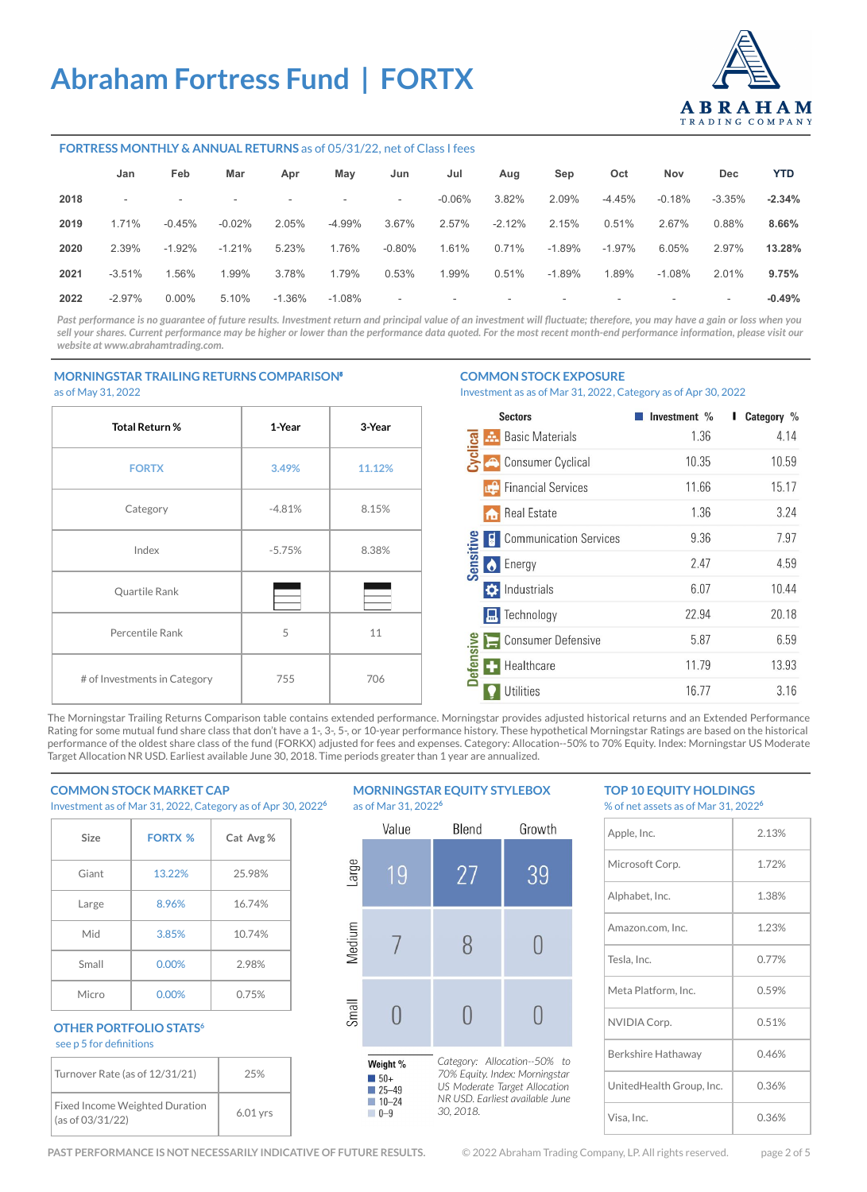

### **FORTRESS MONTHLY & ANNUAL RETURNS** as of 05/31/22, net of Class I fees

|      | Jan                      | Feb                      | Mar       | Apr       | May                      | Jun                      | Jul       | Aug      | Sep                      | Oct       | Nov                      | Dec      | <b>YTD</b> |
|------|--------------------------|--------------------------|-----------|-----------|--------------------------|--------------------------|-----------|----------|--------------------------|-----------|--------------------------|----------|------------|
| 2018 | $\overline{\phantom{a}}$ | $\overline{\phantom{a}}$ | -         | -         | $\overline{\phantom{a}}$ | $\overline{\phantom{a}}$ | $-0.06\%$ | 3.82%    | 2.09%                    | $-4.45%$  | $-0.18%$                 | $-3.35%$ | $-2.34%$   |
| 2019 | 1.71%                    | $-0.45%$                 | $-0.02\%$ | 2.05%     | $-4.99%$                 | 3.67%                    | 2.57%     | $-2.12%$ | 2.15%                    | 0.51%     | 2.67%                    | 0.88%    | 8.66%      |
| 2020 | 2.39%                    | $-1.92\%$                | $-1.21%$  | 5.23%     | 1.76%                    | $-0.80%$                 | 1.61%     | 0.71%    | $-1.89%$                 | $-1.97\%$ | 6.05%                    | 2.97%    | 13.28%     |
| 2021 | $-3.51%$                 | 1.56%                    | 1.99%     | 3.78%     | 1.79%                    | 0.53%                    | 1.99%     | 0.51%    | $-1.89%$                 | 1.89%     | $-1.08%$                 | 2.01%    | 9.75%      |
| 2022 | $-2.97%$                 | $0.00\%$                 | 5.10%     | $-1.36\%$ | $-1.08\%$                | $\overline{\phantom{a}}$ | $\sim$    | $\sim$   | $\overline{\phantom{a}}$ | ۰         | $\overline{\phantom{a}}$ | $\sim$   | $-0.49%$   |

Past performance is no guarantee of future results. Investment return and principal value of an investment will fluctuate; therefore, you may have a gain or loss when you sell your shares. Current performance may be higher or lower than the performance data quoted. For the most recent month-end performance information, please visit our *website at [www.abrahamtrading.com](http://www.abrahamtrading.com).* 

### **MORNINGSTAR TRAILING RETURNS COMPARISON**⁵

as of May 31, 2022

# **Total Return % 1-Year 3-Year FORTX 3.49% 11.12%** Category 1 -4.81% 8.15% Index -5.75% 8.38% Quartile Rank Percentile Rank 5 11 # of Investments in Category  $\begin{array}{|c|c|c|c|c|} \hline \end{array}$  706

#### **COMMON STOCK EXPOSURE**

Investment as as of Mar 31, 2022, Category as of Apr 30, 2022

|                 | <b>Sectors</b>                     | Investment % | Category % |
|-----------------|------------------------------------|--------------|------------|
|                 | <b>Basic Materials</b><br>a.       | 1.36         | 4.14       |
|                 | Consumer Cyclical                  | 10.35        | 10.59      |
|                 | <b>I.</b> Financial Services       | 11.66        | 15.17      |
|                 | <b>Real Estate</b><br>m            | 1.36         | 3.24       |
|                 | <b>Communication Services</b><br>O | 9.36         | 7.97       |
| Sensitive       | <b>C</b> Energy                    | 2.47         | 4.59       |
|                 | <b>O</b> Industrials               | 6.07         | 10.44      |
|                 | <b>P.</b> Technology               | 22.94        | 20.18      |
|                 | Consumer Defensive                 | 5.87         | 6.59       |
| <b>Defensiv</b> | Healthcare                         | 11.79        | 13.93      |
|                 | <b>Utilities</b>                   | 16.77        | 3.16       |

The Morningstar Trailing Returns Comparison table contains extended performance. Morningstar provides adjusted historical returns and an Extended Performance Rating for some mutual fund share class that don't have a 1-, 3-, 5-, or 10-year performance history. These hypothetical Morningstar Ratings are based on the historical performance of the oldest share class of the fund (FORKX) adjusted for fees and expenses. Category: Allocation--50% to 70% Equity. Index: Morningstar US Moderate Target Allocation NR USD. Earliest available June 30, 2018. Time periods greater than 1 year are annualized.

### **COMMON STOCK MARKET CAP**

Investment as of Mar 31, 2022, Category as of Apr 30, 2022**<sup>6</sup>**

| Size  | <b>FORTX %</b> | Cat Avg % |
|-------|----------------|-----------|
| Giant | 13.22%         | 25.98%    |
| Large | 8.96%          | 16.74%    |
| Mid   | 3.85%          | 10.74%    |
| Small | 0.00%          | 2.98%     |
| Micro | 0.00%          | 0.75%     |

### **OTHER PORTFOLIO STATS<sup>6</sup>** see p 5 for definitions

| Turnover Rate (as of 12/31/21)                     | 25%        |
|----------------------------------------------------|------------|
| Fixed Income Weighted Duration<br>(as of 03/31/22) | $6.01$ vrs |

#### **MORNINGSTAR EQUITY STYLEBOX**  as of Mar 31, 2022**<sup>6</sup>**



### **TOP 10 EQUITY HOLDINGS**  % of net assets as of Mar 31, 2022**<sup>6</sup>**

| Apple, Inc.              | 2.13% |
|--------------------------|-------|
| Microsoft Corp.          | 1.72% |
| Alphabet, Inc.           | 1.38% |
| Amazon.com, Inc.         | 1.23% |
| Tesla, Inc.              | 0.77% |
| Meta Platform, Inc.      | 0.59% |
| NVIDIA Corp.             | 0.51% |
| Berkshire Hathaway       | 0.46% |
| UnitedHealth Group, Inc. | 0.36% |
| Visa, Inc.               | 0.36% |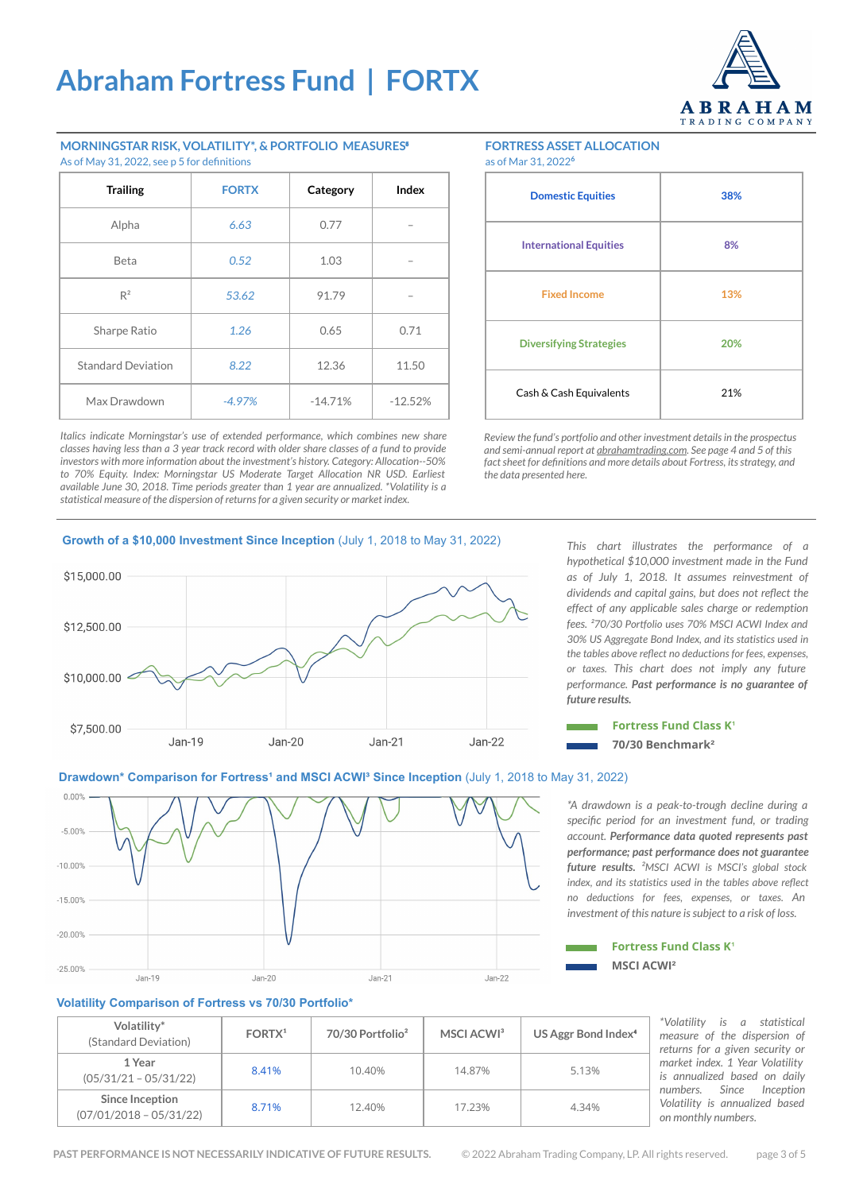

### **MORNINGSTAR RISK, VOLATILITY\*, & PORTFOLIO MEASURES**⁵ As of May 31, 2022, see p 5 for definitions

| <b>Trailing</b>           | <b>FORTX</b> | Category  | Index     |
|---------------------------|--------------|-----------|-----------|
| Alpha                     | 6.63         | 0.77      |           |
| Beta                      | 0.52         | 1.03      |           |
| $R^2$                     | 53.62        | 91.79     |           |
| Sharpe Ratio              | 1.26         | 0.65      | 0.71      |
| <b>Standard Deviation</b> | 8.22         | 12.36     | 11.50     |
| Max Drawdown              | $-4.97%$     | $-14.71%$ | $-12.52%$ |

*Italics indicate Morningstar's use of extended performance, which combines new share classes having less than a 3 year track record with older share classes of a fund to provide investors with more information about the investment's history. Category: Allocation--50% to 70% Equity. Index: Morningstar US Moderate Target Allocation NR USD. Earliest available June 30, 2018. Time periods greater than 1 year are annualized. \*Volatility is a statistical measure of the dispersion of returns for a given security or market index.*

#### **FORTRESS ASSET ALLOCATION** as of Mar 31, 2022**<sup>6</sup>**

| 38% |
|-----|
| 8%  |
| 13% |
| 20% |
| 21% |
|     |

*Review the fund's portfolio and other investment details in the prospectus and semi-annual report at [abrahamtrading.com](http://www.abrahamtrading.com). See page 4 and 5 of this fact sheet for definitions and more details about Fortress, its strategy, and the data presented here.*

### **Growth of a \$10,000 Investment Since Inception** (July 1, 2018 to May 31, 2022)



*This chart illustrates the performance of a hypothetical \$10,000 investment made in the Fund as of July 1, 2018. It assumes reinvestment of dividends and capital gains, but does not reflect the effect of any applicable sales charge or redemption fees. ²70/30 Portfolio uses 70% MSCI ACWI Index and 30% US Aggregate Bond Index, and its statistics used in the tables above reflect no deductions for fees, expenses, or taxes. This chart does not imply any future performance. Past performance is no guarantee of future results.*



### **Drawdown\* Comparison for Fortress<sup>1</sup> and MSCI ACWI<sup>3</sup> Since Inception (July 1, 2018 to May 31, 2022)**

 $0.00%$  $-5.00%$  $-10.00%$  $-1500%$  $-20.00%$  $-25.00%$ Jan-19 Jan-22  $Jan-20$  $Jan-21$ 

*\*A drawdown is a peak-to-trough decline during a specific period for an investment fund, or trading account. Performance data quoted represents past performance; past performance does not guarantee future results. ²MSCI ACWI is MSCI's global stock index, and its statistics used in the tables above reflect no deductions for fees, expenses, or taxes. An investment of this nature is subject to a risk of loss.* 



### **Volatility Comparison of Fortress vs 70/30 Portfolio\***

| Volatility*<br>(Standard Deviation)          | FORTX <sup>1</sup> | 70/30 Portfolio <sup>2</sup> | MSCI ACWI <sup>3</sup> | US Aggr Bond Index <sup>4</sup> |
|----------------------------------------------|--------------------|------------------------------|------------------------|---------------------------------|
| 1 Year<br>$(05/31/21 - 05/31/22)$            | 8.41%              | 10.40%                       | 14.87%                 | 5.13%                           |
| Since Inception<br>$(07/01/2018 - 05/31/22)$ | 8.71%              | 12.40%                       | 17.23%                 | 4.34%                           |

*\*Volatility is a statistical measure of the dispersion of returns for a given security or market index. 1 Year Volatility is annualized based on daily nception Volatility is annualized based on monthly numbers.*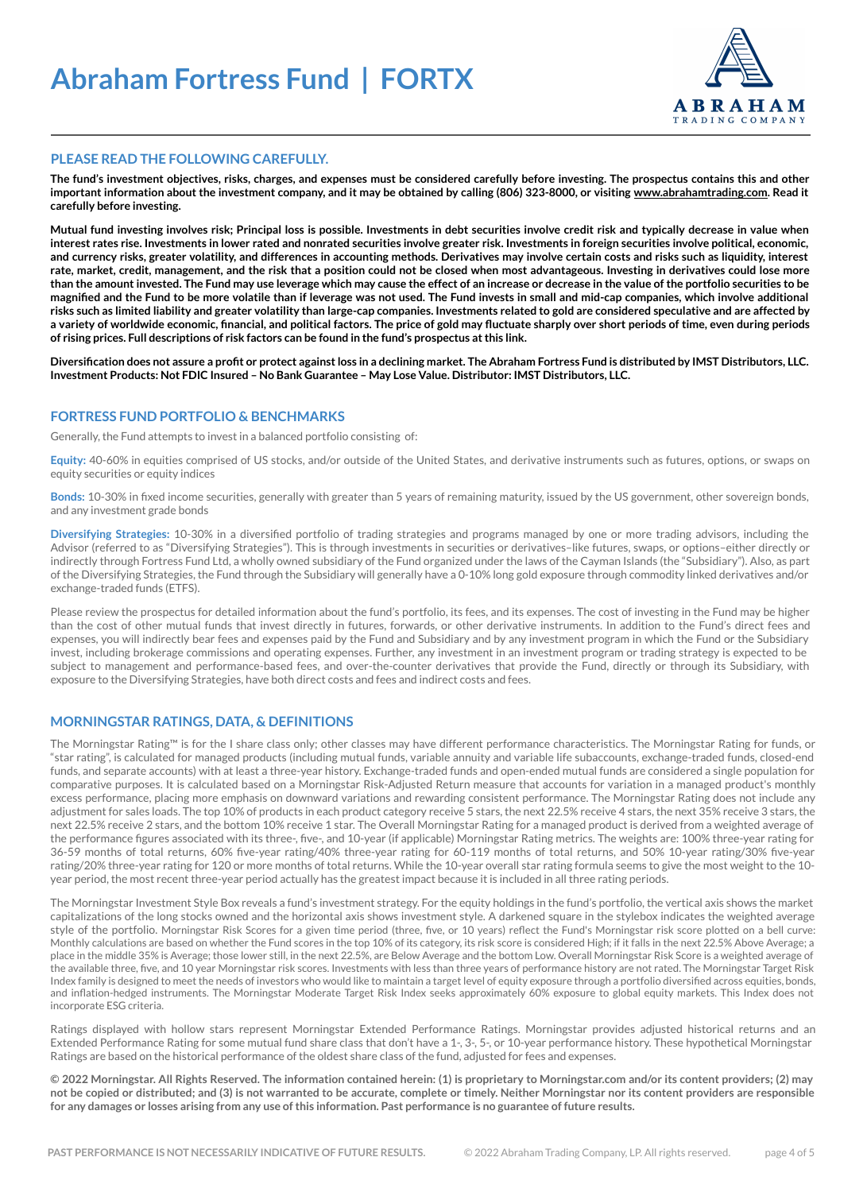

### **PLEASE READ THE FOLLOWING CAREFULLY.**

**The fund's investment objectives, risks, charges, and expenses must be considered carefully before investing. The prospectus contains this and other important information about the investment company, and it may be obtained by calling (806) 323-8000, or visiting [www.abrahamtrading.com](http://www.abrahamtrading.com). Read it carefully before investing.** 

**Mutual fund investing involves risk; Principal loss is possible. Investments in debt securities involve credit risk and typically decrease in value when interest rates rise. Investments in lower rated and nonrated securities involve greater risk. Investments in foreign securities involve political, economic, and currency risks, greater volatility, and differences in accounting methods. Derivatives may involve certain costs and risks such as liquidity, interest rate, market, credit, management, and the risk that a position could not be closed when most advantageous. Investing in derivatives could lose more than the amount invested. The Fund may use leverage which may cause the effect of an increase or decrease in the value of the portfolio securities to be magnified and the Fund to be more volatile than if leverage was not used. The Fund invests in small and mid-cap companies, which involve additional risks such as limited liability and greater volatility than large-cap companies. Investments related to gold are considered speculative and are affected by a variety of worldwide economic, financial, and political factors. The price of gold may fluctuate sharply over short periods of time, even during periods of rising prices. Full descriptions of risk factors can be found in the fund's prospectus at this link.**

**Diversification does not assure a profit or protect against loss in a declining market. The Abraham Fortress Fund is distributed by IMST Distributors, LLC. Investment Products: Not FDIC Insured – No Bank Guarantee – May Lose Value. Distributor: IMST Distributors, LLC.** 

### **FORTRESS FUND PORTFOLIO & BENCHMARKS**

Generally, the Fund attempts to invest in a balanced portfolio consisting of:

**Equity:** 40-60% in equities comprised of US stocks, and/or outside of the United States, and derivative instruments such as futures, options, or swaps on equity securities or equity indices

**Bonds:** 10-30% in fixed income securities, generally with greater than 5 years of remaining maturity, issued by the US government, other sovereign bonds, and any investment grade bonds

**Diversifying Strategies:** 10-30% in a diversified portfolio of trading strategies and programs managed by one or more trading advisors, including the Advisor (referred to as "Diversifying Strategies"). This is through investments in securities or derivatives–like futures, swaps, or options–either directly or indirectly through Fortress Fund Ltd, a wholly owned subsidiary of the Fund organized under the laws of the Cayman Islands (the "Subsidiary"). Also, as part of the Diversifying Strategies, the Fund through the Subsidiary will generally have a 0-10% long gold exposure through commodity linked derivatives and/or exchange-traded funds (ETFS).

Please review the prospectus for detailed information about the fund's portfolio, its fees, and its expenses. The cost of investing in the Fund may be higher than the cost of other mutual funds that invest directly in futures, forwards, or other derivative instruments. In addition to the Fund's direct fees and expenses, you will indirectly bear fees and expenses paid by the Fund and Subsidiary and by any investment program in which the Fund or the Subsidiary invest, including brokerage commissions and operating expenses. Further, any investment in an investment program or trading strategy is expected to be subject to management and performance-based fees, and over-the-counter derivatives that provide the Fund, directly or through its Subsidiary, with exposure to the Diversifying Strategies, have both direct costs and fees and indirect costs and fees.

### **MORNINGSTAR RATINGS, DATA, & DEFINITIONS**

The Morningstar Rating™ is for the I share class only; other classes may have different performance characteristics. The Morningstar Rating for funds, or "star rating", is calculated for managed products (including mutual funds, variable annuity and variable life subaccounts, exchange-traded funds, closed-end funds, and separate accounts) with at least a three-year history. Exchange-traded funds and open-ended mutual funds are considered a single population for comparative purposes. It is calculated based on a Morningstar Risk-Adjusted Return measure that accounts for variation in a managed product's monthly excess performance, placing more emphasis on downward variations and rewarding consistent performance. The Morningstar Rating does not include any adjustment for sales loads. The top 10% of products in each product category receive 5 stars, the next 22.5% receive 4 stars, the next 35% receive 3 stars, the next 22.5% receive 2 stars, and the bottom 10% receive 1 star. The Overall Morningstar Rating for a managed product is derived from a weighted average of the performance figures associated with its three-, five-, and 10-year (if applicable) Morningstar Rating metrics. The weights are: 100% three-year rating for 36-59 months of total returns, 60% five-year rating/40% three-year rating for 60-119 months of total returns, and 50% 10-year rating/30% five-year rating/20% three-year rating for 120 or more months of total returns. While the 10-year overall star rating formula seems to give the most weight to the 10 year period, the most recent three-year period actually has the greatest impact because it is included in all three rating periods.

The Morningstar Investment Style Box reveals a fund's investment strategy. For the equity holdings in the fund's portfolio, the vertical axis shows the market capitalizations of the long stocks owned and the horizontal axis shows investment style. A darkened square in the stylebox indicates the weighted average style of the portfolio. Morningstar Risk Scores for a given time period (three, five, or 10 years) reflect the Fund's Morningstar risk score plotted on a bell curve: Monthly calculations are based on whether the Fund scores in the top 10% of its category, its risk score is considered High; if it falls in the next 22.5% Above Average; a place in the middle 35% is Average; those lower still, in the next 22.5%, are Below Average and the bottom Low. Overall Morningstar Risk Score is a weighted average of the available three, five, and 10 year Morningstar risk scores. Investments with less than three years of performance history are not rated. The Morningstar Target Risk Index family is designed to meet the needs of investors who would like to maintain a target level of equity exposure through a portfolio diversified across equities, bonds, and inflation-hedged instruments. The Morningstar Moderate Target Risk Index seeks approximately 60% exposure to global equity markets. This Index does not incorporate ESG criteria.

Ratings displayed with hollow stars represent Morningstar Extended Performance Ratings. Morningstar provides adjusted historical returns and an Extended Performance Rating for some mutual fund share class that don't have a 1-, 3-, 5-, or 10-year performance history. These hypothetical Morningstar Ratings are based on the historical performance of the oldest share class of the fund, adjusted for fees and expenses.

**© 2022 Morningstar. All Rights Reserved. The information contained herein: (1) is proprietary to Morningstar.com and/or its content providers; (2) may not be copied or distributed; and (3) is not warranted to be accurate, complete or timely. Neither Morningstar nor its content providers are responsible for any damages or losses arising from any use of this information. Past performance is no guarantee of future results.**